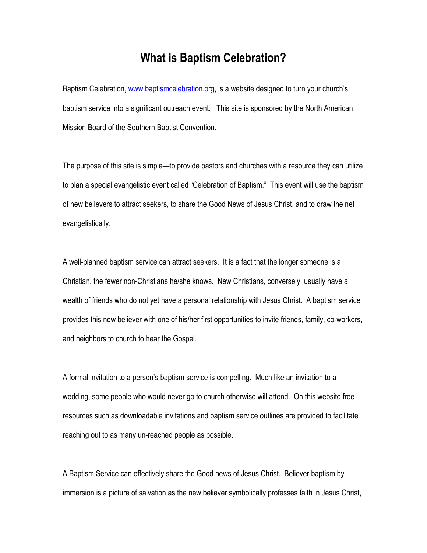## **What is Baptism Celebration?**

Baptism Celebration, www.baptismcelebration.org, is a website designed to turn your church's baptism service into a significant outreach event. This site is sponsored by the North American Mission Board of the Southern Baptist Convention.

The purpose of this site is simple—to provide pastors and churches with a resource they can utilize to plan a special evangelistic event called "Celebration of Baptism." This event will use the baptism of new believers to attract seekers, to share the Good News of Jesus Christ, and to draw the net evangelistically.

A well-planned baptism service can attract seekers. It is a fact that the longer someone is a Christian, the fewer non-Christians he/she knows. New Christians, conversely, usually have a wealth of friends who do not yet have a personal relationship with Jesus Christ. A baptism service provides this new believer with one of his/her first opportunities to invite friends, family, co-workers, and neighbors to church to hear the Gospel.

A formal invitation to a person's baptism service is compelling. Much like an invitation to a wedding, some people who would never go to church otherwise will attend. On this website free resources such as downloadable invitations and baptism service outlines are provided to facilitate reaching out to as many un-reached people as possible.

A Baptism Service can effectively share the Good news of Jesus Christ. Believer baptism by immersion is a picture of salvation as the new believer symbolically professes faith in Jesus Christ,